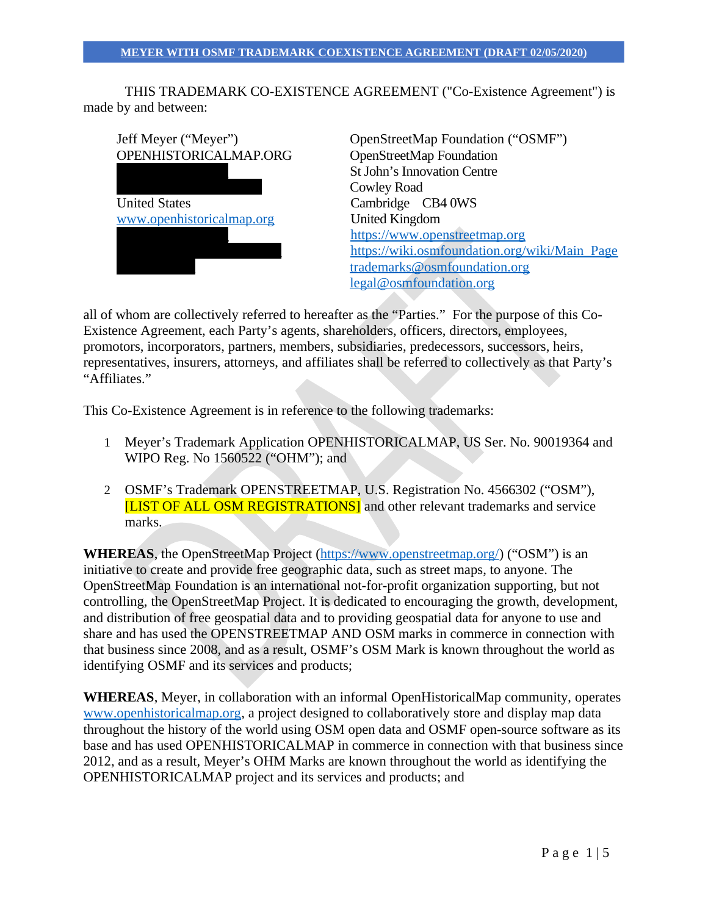THIS TRADEMARK CO-EXISTENCE AGREEMENT ("Co-Existence Agreement") is made by and between:



Jeff Meyer ("Meyer") OpenStreetMap Foundation ("OSMF") OpenStreetMap Foundation St John's Innovation Centre Cowley Road Cambridge CB4 0WS United Kingdom https://www.openstreetmap.org [https://wiki.osmfoundation.org/wiki/Main\\_Page](https://wiki.osmfoundation.org/wiki/Main_Page) [trademarks@osmfoundation.org](mailto:trademarks@osmfoundation.org) legal@osmfoundation.org

all of whom are collectively referred to hereafter as the "Parties." For the purpose of this Co-Existence Agreement, each Party's agents, shareholders, officers, directors, employees, promotors, incorporators, partners, members, subsidiaries, predecessors, successors, heirs, representatives, insurers, attorneys, and affiliates shall be referred to collectively as that Party's "Affiliates."

This Co-Existence Agreement is in reference to the following trademarks:

- 1 Meyer's Trademark Application OPENHISTORICALMAP, US Ser. No. 90019364 and WIPO Reg. No 1560522 ("OHM"); and
- 2 OSMF's Trademark OPENSTREETMAP, U.S. Registration No. 4566302 ("OSM"), [LIST OF ALL OSM REGISTRATIONS] and other relevant trademarks and service marks.

**WHEREAS**, the OpenStreetMap Project [\(https://www.openstreetmap.org/\)](https://www.openstreetmap.org/) ("OSM") is an initiative to create and provide free geographic data, such as street maps, to anyone. The OpenStreetMap Foundation is an international not-for-profit organization supporting, but not controlling, the OpenStreetMap Project. It is dedicated to encouraging the growth, development, and distribution of free geospatial data and to providing geospatial data for anyone to use and share and has used the OPENSTREETMAP AND OSM marks in commerce in connection with that business since 2008, and as a result, OSMF's OSM Mark is known throughout the world as identifying OSMF and its services and products;

**WHEREAS**, Meyer, in collaboration with an informal OpenHistoricalMap community, operates [www.openhistoricalmap.org,](http://www.openhistoricalmap.org/) a project designed to collaboratively store and display map data throughout the history of the world using OSM open data and OSMF open-source software as its base and has used OPENHISTORICALMAP in commerce in connection with that business since 2012, and as a result, Meyer's OHM Marks are known throughout the world as identifying the OPENHISTORICALMAP project and its services and products; and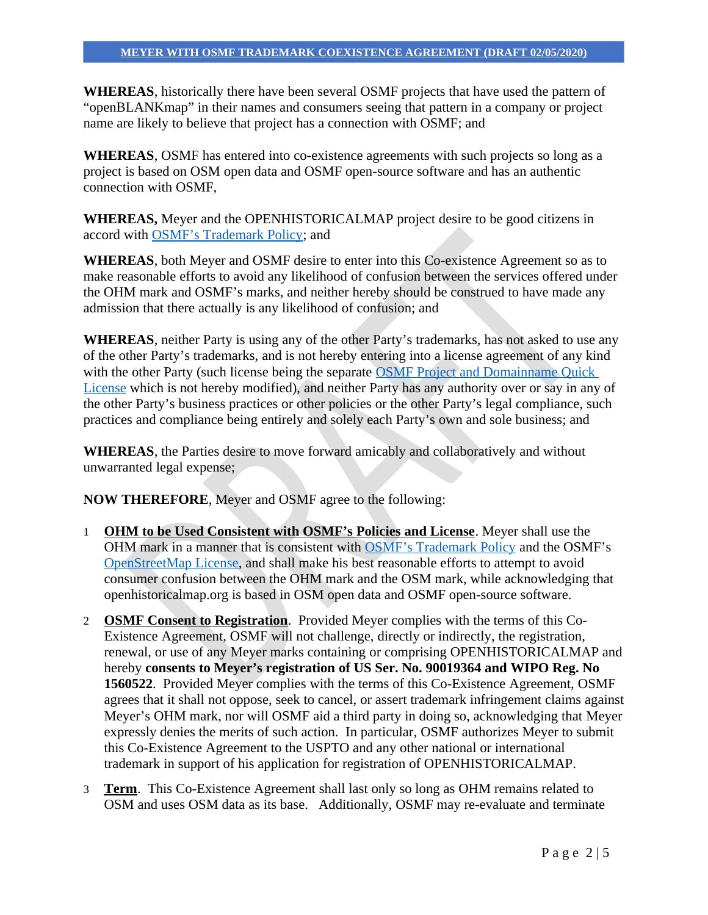**WHEREAS**, historically there have been several OSMF projects that have used the pattern of "openBLANKmap" in their names and consumers seeing that pattern in a company or project name are likely to believe that project has a connection with OSMF; and

**WHEREAS**, OSMF has entered into co-existence agreements with such projects so long as a project is based on OSM open data and OSMF open-source software and has an authentic connection with OSMF,

**WHEREAS,** Meyer and the OPENHISTORICALMAP project desire to be good citizens in accord with [OSMF's Trademark Policy](https://wiki.osmfoundation.org/wiki/Trademark_Policy); and

**WHEREAS**, both Meyer and OSMF desire to enter into this Co-existence Agreement so as to make reasonable efforts to avoid any likelihood of confusion between the services offered under the OHM mark and OSMF's marks, and neither hereby should be construed to have made any admission that there actually is any likelihood of confusion; and

**WHEREAS**, neither Party is using any of the other Party's trademarks, has not asked to use any of the other Party's trademarks, and is not hereby entering into a license agreement of any kind with the other Party (such license being the separate OSMF Project and Domainname Quick [License](https://wiki.osmfoundation.org/wiki/Project_Licence_and_Domain_Grandfathering_Application) which is not hereby modified), and neither Party has any authority over or say in any of the other Party's business practices or other policies or the other Party's legal compliance, such practices and compliance being entirely and solely each Party's own and sole business; and

**WHEREAS**, the Parties desire to move forward amicably and collaboratively and without unwarranted legal expense;

**NOW THEREFORE**, Meyer and OSMF agree to the following:

- 1 **OHM to be Used Consistent with OSMF's Policies and License**. Meyer shall use the OHM mark in a manner that is consistent with [OSMF's Trademark Policy](https://wiki.osmfoundation.org/wiki/Trademark_Policy) and the OSMF's [OpenStreetMap License](https://wiki.osmfoundation.org/wiki/Licence), and shall make his best reasonable efforts to attempt to avoid consumer confusion between the OHM mark and the OSM mark, while acknowledging that openhistoricalmap.org is based in OSM open data and OSMF open-source software.
- 2 **OSMF Consent to Registration**. Provided Meyer complies with the terms of this Co-Existence Agreement, OSMF will not challenge, directly or indirectly, the registration, renewal, or use of any Meyer marks containing or comprising OPENHISTORICALMAP and hereby **consents to Meyer's registration of US Ser. No. 90019364 and WIPO Reg. No 1560522**. Provided Meyer complies with the terms of this Co-Existence Agreement, OSMF agrees that it shall not oppose, seek to cancel, or assert trademark infringement claims against Meyer's OHM mark, nor will OSMF aid a third party in doing so, acknowledging that Meyer expressly denies the merits of such action. In particular, OSMF authorizes Meyer to submit this Co-Existence Agreement to the USPTO and any other national or international trademark in support of his application for registration of OPENHISTORICALMAP.
- 3 **Term**. This Co-Existence Agreement shall last only so long as OHM remains related to OSM and uses OSM data as its base. Additionally, OSMF may re-evaluate and terminate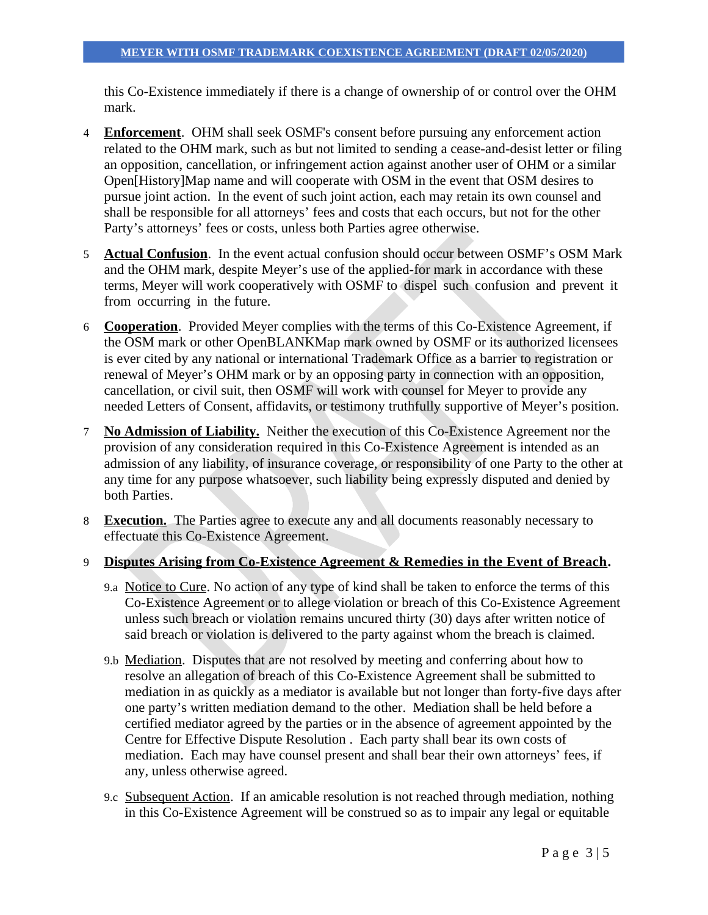this Co-Existence immediately if there is a change of ownership of or control over the OHM mark.

- 4 **Enforcement**. OHM shall seek OSMF's consent before pursuing any enforcement action related to the OHM mark, such as but not limited to sending a cease-and-desist letter or filing an opposition, cancellation, or infringement action against another user of OHM or a similar Open[History]Map name and will cooperate with OSM in the event that OSM desires to pursue joint action. In the event of such joint action, each may retain its own counsel and shall be responsible for all attorneys' fees and costs that each occurs, but not for the other Party's attorneys' fees or costs, unless both Parties agree otherwise.
- 5 **Actual Confusion**. In the event actual confusion should occur between OSMF's OSM Mark and the OHM mark, despite Meyer's use of the applied-for mark in accordance with these terms, Meyer will work cooperatively with OSMF to dispel such confusion and prevent it from occurring in the future.
- 6 **Cooperation**. Provided Meyer complies with the terms of this Co-Existence Agreement, if the OSM mark or other OpenBLANKMap mark owned by OSMF or its authorized licensees is ever cited by any national or international Trademark Office as a barrier to registration or renewal of Meyer's OHM mark or by an opposing party in connection with an opposition, cancellation, or civil suit, then OSMF will work with counsel for Meyer to provide any needed Letters of Consent, affidavits, or testimony truthfully supportive of Meyer's position.
- 7 **No Admission of Liability.** Neither the execution of this Co-Existence Agreement nor the provision of any consideration required in this Co-Existence Agreement is intended as an admission of any liability, of insurance coverage, or responsibility of one Party to the other at any time for any purpose whatsoever, such liability being expressly disputed and denied by both Parties.
- 8 **Execution.** The Parties agree to execute any and all documents reasonably necessary to effectuate this Co-Existence Agreement.

## 9 **Disputes Arising from Co-Existence Agreement & Remedies in the Event of Breach.**

- 9.a Notice to Cure. No action of any type of kind shall be taken to enforce the terms of this Co-Existence Agreement or to allege violation or breach of this Co-Existence Agreement unless such breach or violation remains uncured thirty (30) days after written notice of said breach or violation is delivered to the party against whom the breach is claimed.
- 9.b Mediation. Disputes that are not resolved by meeting and conferring about how to resolve an allegation of breach of this Co-Existence Agreement shall be submitted to mediation in as quickly as a mediator is available but not longer than forty-five days after one party's written mediation demand to the other. Mediation shall be held before a certified mediator agreed by the parties or in the absence of agreement appointed by the Centre for Effective Dispute Resolution . Each party shall bear its own costs of mediation. Each may have counsel present and shall bear their own attorneys' fees, if any, unless otherwise agreed.
- 9.c Subsequent Action. If an amicable resolution is not reached through mediation, nothing in this Co-Existence Agreement will be construed so as to impair any legal or equitable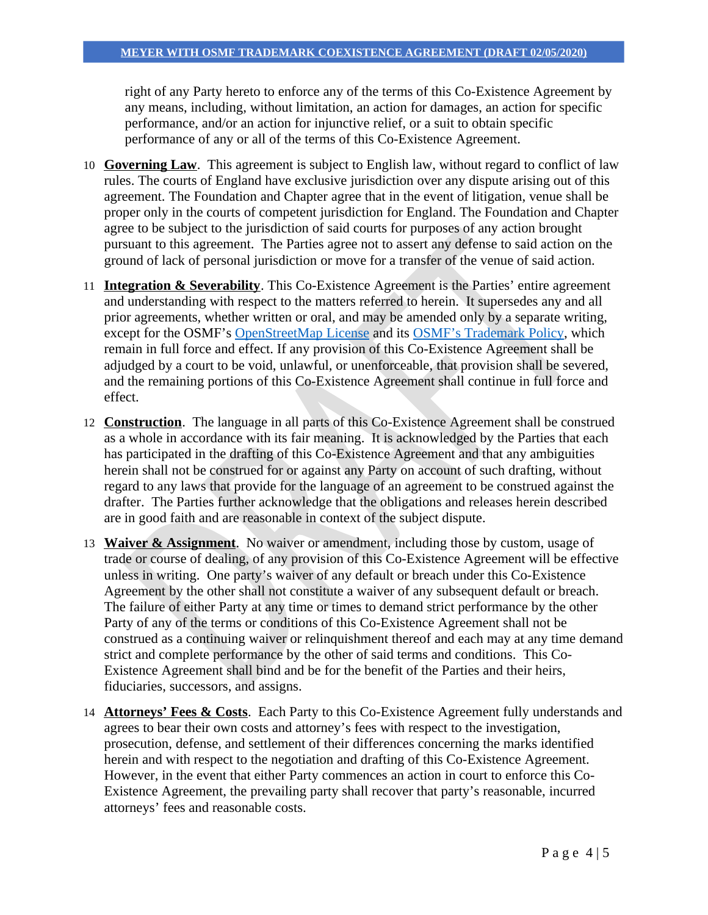right of any Party hereto to enforce any of the terms of this Co-Existence Agreement by any means, including, without limitation, an action for damages, an action for specific performance, and/or an action for injunctive relief, or a suit to obtain specific performance of any or all of the terms of this Co-Existence Agreement.

- 10 **Governing Law**. This agreement is subject to English law, without regard to conflict of law rules. The courts of England have exclusive jurisdiction over any dispute arising out of this agreement. The Foundation and Chapter agree that in the event of litigation, venue shall be proper only in the courts of competent jurisdiction for England. The Foundation and Chapter agree to be subject to the jurisdiction of said courts for purposes of any action brought pursuant to this agreement. The Parties agree not to assert any defense to said action on the ground of lack of personal jurisdiction or move for a transfer of the venue of said action.
- 11 **Integration & Severability**. This Co-Existence Agreement is the Parties' entire agreement and understanding with respect to the matters referred to herein. It supersedes any and all prior agreements, whether written or oral, and may be amended only by a separate writing, except for the OSMF's [OpenStreetMap License](https://wiki.osmfoundation.org/wiki/Licence) and its [OSMF's Trademark Policy](https://wiki.osmfoundation.org/wiki/Trademark_Policy), which remain in full force and effect. If any provision of this Co-Existence Agreement shall be adjudged by a court to be void, unlawful, or unenforceable, that provision shall be severed, and the remaining portions of this Co-Existence Agreement shall continue in full force and effect.
- 12 **Construction**. The language in all parts of this Co-Existence Agreement shall be construed as a whole in accordance with its fair meaning. It is acknowledged by the Parties that each has participated in the drafting of this Co-Existence Agreement and that any ambiguities herein shall not be construed for or against any Party on account of such drafting, without regard to any laws that provide for the language of an agreement to be construed against the drafter. The Parties further acknowledge that the obligations and releases herein described are in good faith and are reasonable in context of the subject dispute.
- 13 **Waiver & Assignment**. No waiver or amendment, including those by custom, usage of trade or course of dealing, of any provision of this Co-Existence Agreement will be effective unless in writing. One party's waiver of any default or breach under this Co-Existence Agreement by the other shall not constitute a waiver of any subsequent default or breach. The failure of either Party at any time or times to demand strict performance by the other Party of any of the terms or conditions of this Co-Existence Agreement shall not be construed as a continuing waiver or relinquishment thereof and each may at any time demand strict and complete performance by the other of said terms and conditions. This Co-Existence Agreement shall bind and be for the benefit of the Parties and their heirs, fiduciaries, successors, and assigns.
- 14 **Attorneys' Fees & Costs**. Each Party to this Co-Existence Agreement fully understands and agrees to bear their own costs and attorney's fees with respect to the investigation, prosecution, defense, and settlement of their differences concerning the marks identified herein and with respect to the negotiation and drafting of this Co-Existence Agreement. However, in the event that either Party commences an action in court to enforce this Co-Existence Agreement, the prevailing party shall recover that party's reasonable, incurred attorneys' fees and reasonable costs.